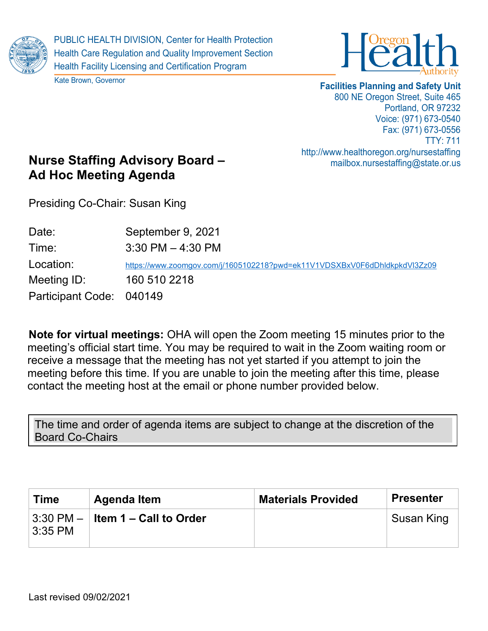

PUBLIC HEALTH DIVISION, Center for Health Protection Health Care Regulation and Quality Improvement Section Health Facility Licensing and Certification Program

Kate Brown, Governor



## **Facilities Planning and Safety Unit** 800 NE Oregon Street, Suite 465 Portland, OR 97232 Voice: (971) 673-0540 Fax: (971) 673-0556 TTY: 711 http://www.healthoregon.org/nursestaffing mailbox.nursestaffing@state.or.us

## **Nurse Staffing Advisory Board – Ad Hoc Meeting Agenda**

Presiding Co-Chair: Susan King

| Date:                    | September 9, 2021                                                         |
|--------------------------|---------------------------------------------------------------------------|
| Time:                    | $3:30$ PM $-4:30$ PM                                                      |
| Location:                | https://www.zoomgov.com/j/1605102218?pwd=ek11V1VDSXBxV0F6dDhldkpkdVl3Zz09 |
| Meeting ID:              | 160 510 2218                                                              |
| Participant Code: 040149 |                                                                           |

**Note for virtual meetings:** OHA will open the Zoom meeting 15 minutes prior to the meeting's official start time. You may be required to wait in the Zoom waiting room or receive a message that the meeting has not yet started if you attempt to join the meeting before this time. If you are unable to join the meeting after this time, please contact the meeting host at the email or phone number provided below.

The time and order of agenda items are subject to change at the discretion of the Board Co-Chairs

| <b>Time</b>     | Agenda Item                                   | <b>Materials Provided</b> | <b>Presenter</b> |
|-----------------|-----------------------------------------------|---------------------------|------------------|
| $\vert$ 3:35 PM | $\mid$ 3:30 PM $ \mid$ Item 1 – Call to Order |                           | Susan King       |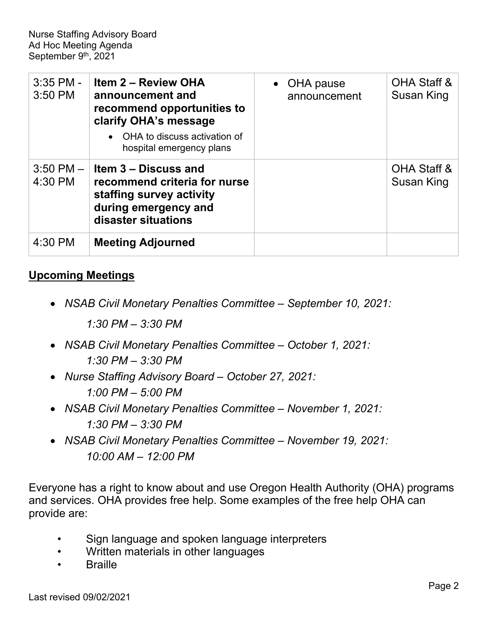| $3:35$ PM -<br>3:50 PM   | <b>Item 2 - Review OHA</b><br>announcement and<br>recommend opportunities to<br>clarify OHA's message                           | • OHA pause<br>announcement | OHA Staff &<br>Susan King |
|--------------------------|---------------------------------------------------------------------------------------------------------------------------------|-----------------------------|---------------------------|
|                          | OHA to discuss activation of<br>hospital emergency plans                                                                        |                             |                           |
| $3:50$ PM $-$<br>4:30 PM | Item 3 – Discuss and<br>recommend criteria for nurse<br>staffing survey activity<br>during emergency and<br>disaster situations |                             | OHA Staff &<br>Susan King |
| 4:30 PM                  | <b>Meeting Adjourned</b>                                                                                                        |                             |                           |

## **Upcoming Meetings**

• *NSAB Civil Monetary Penalties Committee – September 10, 2021:*

*1:30 PM – 3:30 PM*

- *NSAB Civil Monetary Penalties Committee – October 1, 2021: 1:30 PM – 3:30 PM*
- *Nurse Staffing Advisory Board – October 27, 2021: 1:00 PM – 5:00 PM*
- *NSAB Civil Monetary Penalties Committee – November 1, 2021: 1:30 PM – 3:30 PM*
- *NSAB Civil Monetary Penalties Committee – November 19, 2021: 10:00 AM – 12:00 PM*

Everyone has a right to know about and use Oregon Health Authority (OHA) programs and services. OHA provides free help. Some examples of the free help OHA can provide are:

- Sign language and spoken language interpreters
- Written materials in other languages
- **Braille**